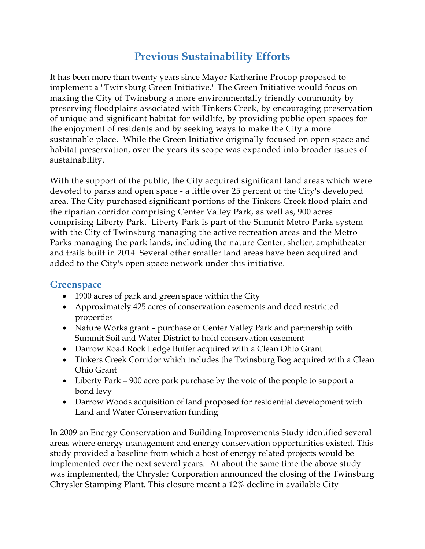# **Previous Sustainability Efforts**

It has been more than twenty years since Mayor Katherine Procop proposed to implement a "Twinsburg Green Initiative." The Green Initiative would focus on making the City of Twinsburg a more environmentally friendly community by preserving floodplains associated with Tinkers Creek, by encouraging preservation of unique and significant habitat for wildlife, by providing public open spaces for the enjoyment of residents and by seeking ways to make the City a more sustainable place. While the Green Initiative originally focused on open space and habitat preservation, over the years its scope was expanded into broader issues of sustainability.

With the support of the public, the City acquired significant land areas which were devoted to parks and open space - a little over 25 percent of the City's developed area. The City purchased significant portions of the Tinkers Creek flood plain and the riparian corridor comprising Center Valley Park, as well as, 900 acres comprising Liberty Park. Liberty Park is part of the Summit Metro Parks system with the City of Twinsburg managing the active recreation areas and the Metro Parks managing the park lands, including the nature Center, shelter, amphitheater and trails built in 2014. Several other smaller land areas have been acquired and added to the City's open space network under this initiative.

## **Greenspace**

- 1900 acres of park and green space within the City
- Approximately 425 acres of conservation easements and deed restricted properties
- Nature Works grant purchase of Center Valley Park and partnership with Summit Soil and Water District to hold conservation easement
- Darrow Road Rock Ledge Buffer acquired with a Clean Ohio Grant
- Tinkers Creek Corridor which includes the Twinsburg Bog acquired with a Clean Ohio Grant
- Liberty Park 900 acre park purchase by the vote of the people to support a bond levy
- Darrow Woods acquisition of land proposed for residential development with Land and Water Conservation funding

In 2009 an Energy Conservation and Building Improvements Study identified several areas where energy management and energy conservation opportunities existed. This study provided a baseline from which a host of energy related projects would be implemented over the next several years. At about the same time the above study was implemented, the Chrysler Corporation announced the closing of the Twinsburg Chrysler Stamping Plant. This closure meant a 12% decline in available City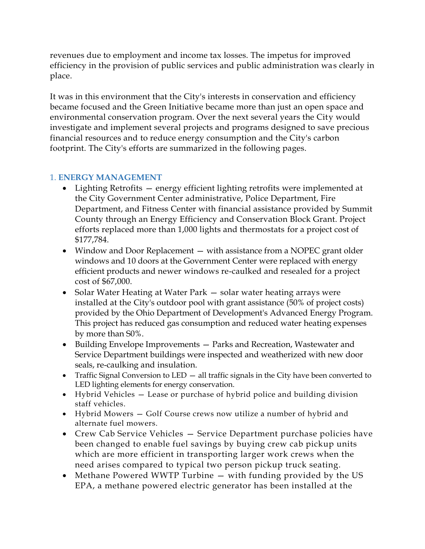revenues due to employment and income tax losses. The impetus for improved efficiency in the provision of public services and public administration was clearly in place.

It was in this environment that the City's interests in conservation and efficiency became focused and the Green Initiative became more than just an open space and environmental conservation program. Over the next several years the City would investigate and implement several projects and programs designed to save precious financial resources and to reduce energy consumption and the City's carbon footprint. The City's efforts are summarized in the following pages.

#### 1. **ENERGY MANAGEMENT**

- Lighting Retrofits energy efficient lighting retrofits were implemented at the City Government Center administrative, Police Department, Fire Department, and Fitness Center with financial assistance provided by Summit County through an Energy Efficiency and Conservation Block Grant. Project efforts replaced more than 1,000 lights and thermostats for a project cost of \$177,784.
- Window and Door Replacement with assistance from a NOPEC grant older windows and 10 doors at the Government Center were replaced with energy efficient products and newer windows re-caulked and resealed for a project cost of \$67,000.
- Solar Water Heating at Water Park solar water heating arrays were installed at the City's outdoor pool with grant assistance (50% of project costs) provided by the Ohio Department of Development's Advanced Energy Program. This project has reduced gas consumption and reduced water heating expenses by more than S0%.
- Building Envelope Improvements Parks and Recreation, Wastewater and Service Department buildings were inspected and weatherized with new door seals, re-caulking and insulation.
- Traffic Signal Conversion to LED all traffic signals in the City have been converted to LED lighting elements for energy conservation.
- Hybrid Vehicles Lease or purchase of hybrid police and building division staff vehicles.
- Hybrid Mowers Golf Course crews now utilize a number of hybrid and alternate fuel mowers.
- Crew Cab Service Vehicles Service Department purchase policies have been changed to enable fuel savings by buying crew cab pickup units which are more efficient in transporting larger work crews when the need arises compared to typical two person pickup truck seating.
- Methane Powered WWTP Turbine with funding provided by the US EPA, a methane powered electric generator has been installed at the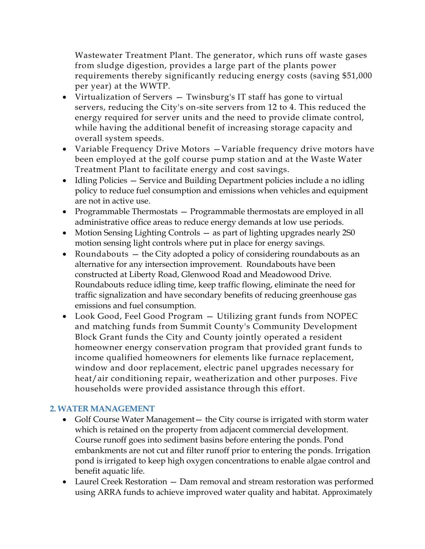Wastewater Treatment Plant. The generator, which runs off waste gases from sludge digestion, provides a large part of the plants power requirements thereby significantly reducing energy costs (saving \$51,000 per year) at the WWTP.

- Virtualization of Servers Twinsburg's IT staff has gone to virtual servers, reducing the City's on-site servers from 12 to 4. This reduced the energy required for server units and the need to provide climate control, while having the additional benefit of increasing storage capacity and overall system speeds.
- Variable Frequency Drive Motors —Variable frequency drive motors have been employed at the golf course pump station and at the Waste Water Treatment Plant to facilitate energy and cost savings.
- Idling Policies Service and Building Department policies include a no idling policy to reduce fuel consumption and emissions when vehicles and equipment are not in active use.
- Programmable Thermostats Programmable thermostats are employed in all administrative office areas to reduce energy demands at low use periods.
- Motion Sensing Lighting Controls as part of lighting upgrades nearly 2S0 motion sensing light controls where put in place for energy savings.
- Roundabouts the City adopted a policy of considering roundabouts as an alternative for any intersection improvement. Roundabouts have been constructed at Liberty Road, Glenwood Road and Meadowood Drive. Roundabouts reduce idling time, keep traffic flowing, eliminate the need for traffic signalization and have secondary benefits of reducing greenhouse gas emissions and fuel consumption.
- Look Good, Feel Good Program Utilizing grant funds from NOPEC and matching funds from Summit County's Community Development Block Grant funds the City and County jointly operated a resident homeowner energy conservation program that provided grant funds to income qualified homeowners for elements like furnace replacement, window and door replacement, electric panel upgrades necessary for heat/air conditioning repair, weatherization and other purposes. Five households were provided assistance through this effort.

### **2. WATER MANAGEMENT**

- Golf Course Water Management the City course is irrigated with storm water which is retained on the property from adjacent commercial development. Course runoff goes into sediment basins before entering the ponds. Pond embankments are not cut and filter runoff prior to entering the ponds. Irrigation pond is irrigated to keep high oxygen concentrations to enable algae control and benefit aquatic life.
- Laurel Creek Restoration Dam removal and stream restoration was performed using ARRA funds to achieve improved water quality and habitat. Approximately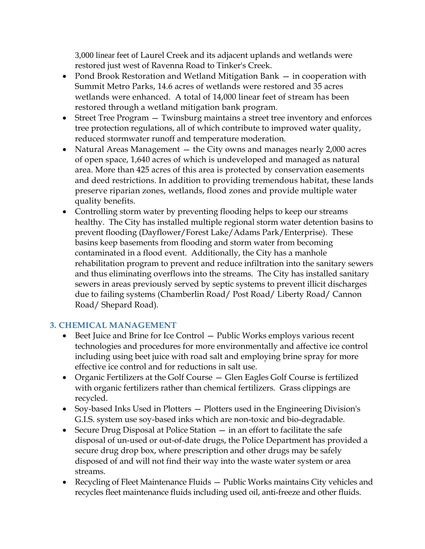3,000 linear feet of Laurel Creek and its adjacent uplands and wetlands were restored just west of Ravenna Road to Tinker's Creek.

- Pond Brook Restoration and Wetland Mitigation Bank in cooperation with Summit Metro Parks, 14.6 acres of wetlands were restored and 35 acres wetlands were enhanced. A total of 14,000 linear feet of stream has been restored through a wetland mitigation bank program.
- Street Tree Program Twinsburg maintains a street tree inventory and enforces tree protection regulations, all of which contribute to improved water quality, reduced stormwater runoff and temperature moderation.
- Natural Areas Management the City owns and manages nearly 2,000 acres of open space, 1,640 acres of which is undeveloped and managed as natural area. More than 425 acres of this area is protected by conservation easements and deed restrictions. In addition to providing tremendous habitat, these lands preserve riparian zones, wetlands, flood zones and provide multiple water quality benefits.
- Controlling storm water by preventing flooding helps to keep our streams healthy. The City has installed multiple regional storm water detention basins to prevent flooding (Dayflower/Forest Lake/Adams Park/Enterprise). These basins keep basements from flooding and storm water from becoming contaminated in a flood event. Additionally, the City has a manhole rehabilitation program to prevent and reduce infiltration into the sanitary sewers and thus eliminating overflows into the streams. The City has installed sanitary sewers in areas previously served by septic systems to prevent illicit discharges due to failing systems (Chamberlin Road/ Post Road/ Liberty Road/ Cannon Road/ Shepard Road).

### **3. CHEMICAL MANAGEMENT**

- Beet Juice and Brine for Ice Control Public Works employs various recent technologies and procedures for more environmentally and affective ice control including using beet juice with road salt and employing brine spray for more effective ice control and for reductions in salt use.
- Organic Fertilizers at the Golf Course Glen Eagles Golf Course is fertilized with organic fertilizers rather than chemical fertilizers. Grass clippings are recycled.
- Soy-based Inks Used in Plotters Plotters used in the Engineering Division's G.I.S. system use soy-based inks which are non-toxic and bio-degradable.
- Secure Drug Disposal at Police Station  $-$  in an effort to facilitate the safe disposal of un-used or out-of-date drugs, the Police Department has provided a secure drug drop box, where prescription and other drugs may be safely disposed of and will not find their way into the waste water system or area streams.
- Recycling of Fleet Maintenance Fluids Public Works maintains City vehicles and recycles fleet maintenance fluids including used oil, anti-freeze and other fluids.